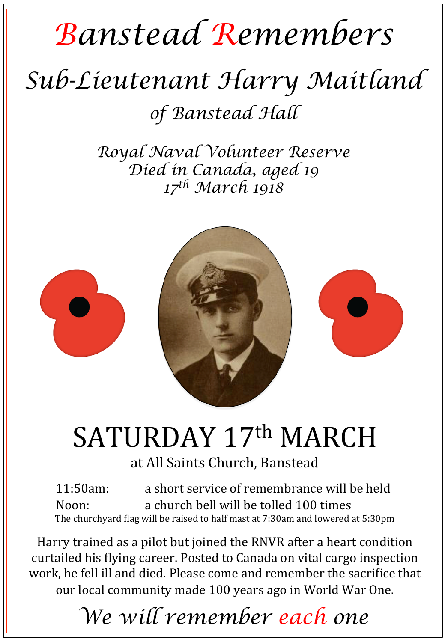# *Banstead Remembers*

### *Sub-Lieutenant Harry Maitland*

*of Banstead Hall* 

*Royal Naval Volunteer Reserve Died in Canada, aged 19 17th March 1918* 



# SATURDAY 17th MARCH

#### at All Saints Church, Banstead

11:50am: a short service of remembrance will be held Noon: a church bell will be tolled 100 times The churchyard flag will be raised to half mast at  $7:30$ am and lowered at  $5:30$ pm

Harry trained as a pilot but joined the RNVR after a heart condition curtailed his flying career. Posted to Canada on vital cargo inspection work, he fell ill and died. Please come and remember the sacrifice that our local community made 100 years ago in World War One.

*We will remember each one*